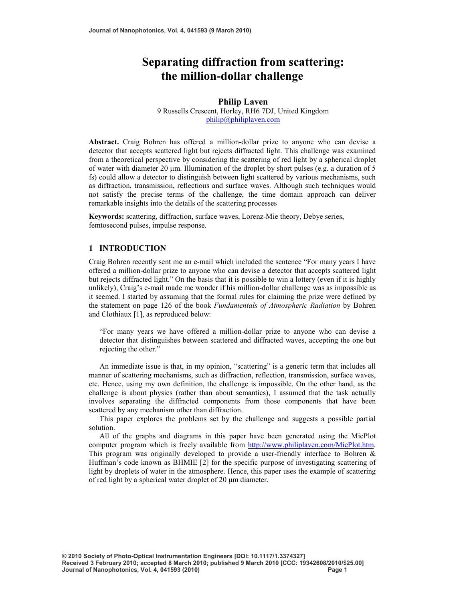# **Separating diffraction from scattering: the million-dollar challenge**

### **Philip Laven**

9 Russells Crescent, Horley, RH6 7DJ, United Kingdom [philip@philiplaven.com](mailto:philip@philiplaven.com)

**Abstract.** Craig Bohren has offered a million-dollar prize to anyone who can devise a detector that accepts scattered light but rejects diffracted light. This challenge was examined from a theoretical perspective by considering the scattering of red light by a spherical droplet of water with diameter 20  $\mu$ m. Illumination of the droplet by short pulses (e.g. a duration of 5 fs) could allow a detector to distinguish between light scattered by various mechanisms, such as diffraction, transmission, reflections and surface waves. Although such techniques would not satisfy the precise terms of the challenge, the time domain approach can deliver remarkable insights into the details of the scattering processes

**Keywords:** scattering, diffraction, surface waves, Lorenz-Mie theory, Debye series, femtosecond pulses, impulse response.

## **1 INTRODUCTION**

Craig Bohren recently sent me an e-mail which included the sentence "For many years I have offered a million-dollar prize to anyone who can devise a detector that accepts scattered light but rejects diffracted light." On the basis that it is possible to win a lottery (even if it is highly unlikely), Craig's e-mail made me wonder if his million-dollar challenge was as impossible as it seemed. I started by assuming that the formal rules for claiming the prize were defined by the statement on page 126 of the book *Fundamentals of Atmospheric Radiation* by Bohren and Clothiaux [1], as reproduced below:

"For many years we have offered a million-dollar prize to anyone who can devise a detector that distinguishes between scattered and diffracted waves, accepting the one but rejecting the other."

An immediate issue is that, in my opinion, "scattering" is a generic term that includes all manner of scattering mechanisms, such as diffraction, reflection, transmission, surface waves, etc. Hence, using my own definition, the challenge is impossible. On the other hand, as the challenge is about physics (rather than about semantics), I assumed that the task actually involves separating the diffracted components from those components that have been scattered by any mechanism other than diffraction.

This paper explores the problems set by the challenge and suggests a possible partial solution.

All of the graphs and diagrams in this paper have been generated using the MiePlot computer program which is freely available from [http://www.philiplaven.com/MiePlot.htm.](http://www.philiplaven.com/MiePlot.htm) This program was originally developed to provide a user-friendly interface to Bohren & Huffman's code known as BHMIE [2] for the specific purpose of investigating scattering of light by droplets of water in the atmosphere. Hence, this paper uses the example of scattering of red light by a spherical water droplet of 20 µm diameter.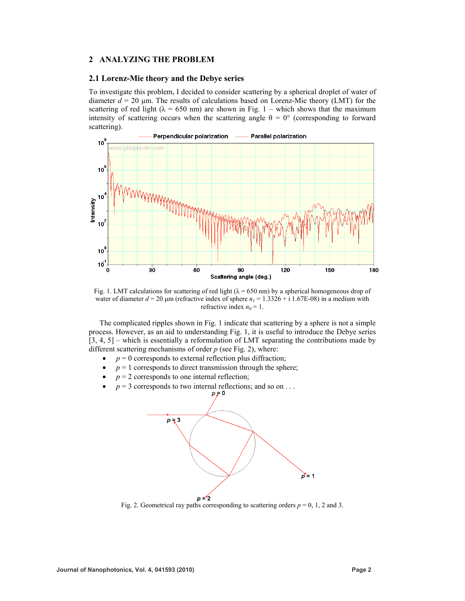## **2 ANALYZING THE PROBLEM**

#### **2.1 Lorenz-Mie theory and the Debye series**

To investigate this problem, I decided to consider scattering by a spherical droplet of water of diameter  $d = 20 \mu m$ . The results of calculations based on Lorenz-Mie theory (LMT) for the scattering of red light ( $\lambda = 650$  nm) are shown in Fig. 1 – which shows that the maximum intensity of scattering occurs when the scattering angle  $\theta = 0^{\circ}$  (corresponding to forward scattering).



Fig. 1. LMT calculations for scattering of red light ( $\lambda = 650$  nm) by a spherical homogeneous drop of water of diameter  $d = 20 \mu$ m (refractive index of sphere  $n<sub>I</sub> = 1.3326 + i 1.67E-08$ ) in a medium with refractive index  $n_0 = 1$ .

The complicated ripples shown in Fig. 1 indicate that scattering by a sphere is not a simple process. However, as an aid to understanding Fig. 1, it is useful to introduce the Debye series  $[3, 4, 5]$  – which is essentially a reformulation of LMT separating the contributions made by different scattering mechanisms of order *p* (see Fig. 2), where:

- $p = 0$  corresponds to external reflection plus diffraction;
- $p = 1$  corresponds to direct transmission through the sphere;
- $p = 2$  corresponds to one internal reflection;
- $p = 3$  corresponds to two internal reflections; and so on . . .



Fig. 2. Geometrical ray paths corresponding to scattering orders  $p = 0, 1, 2$  and 3.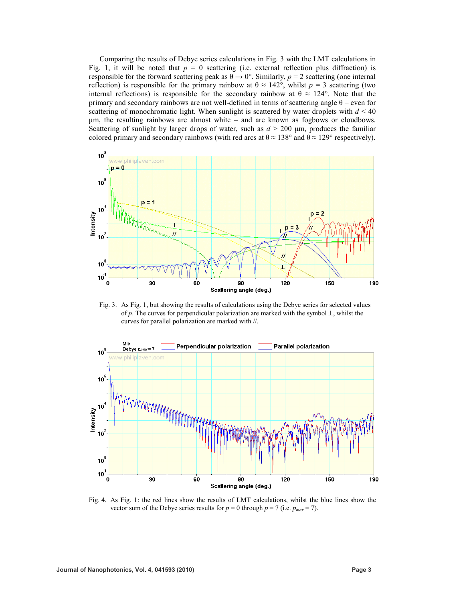Comparing the results of Debye series calculations in Fig. 3 with the LMT calculations in Fig. 1, it will be noted that  $p = 0$  scattering (i.e. external reflection plus diffraction) is responsible for the forward scattering peak as  $\theta \rightarrow 0^{\circ}$ . Similarly,  $p = 2$  scattering (one internal reflection) is responsible for the primary rainbow at  $\theta \approx 142^{\circ}$ , whilst  $p = 3$  scattering (two internal reflections) is responsible for the secondary rainbow at  $\theta \approx 124^{\circ}$ . Note that the primary and secondary rainbows are not well-defined in terms of scattering angle  $\theta$  – even for scattering of monochromatic light. When sunlight is scattered by water droplets with  $d < 40$ µm, the resulting rainbows are almost white – and are known as fogbows or cloudbows. Scattering of sunlight by larger drops of water, such as  $d > 200 \mu m$ , produces the familiar colored primary and secondary rainbows (with red arcs at  $\theta \approx 138^\circ$  and  $\theta \approx 129^\circ$  respectively).



Fig. 3. As Fig. 1, but showing the results of calculations using the Debye series for selected values of *p*. The curves for perpendicular polarization are marked with the symbol ⊥, whilst the curves for parallel polarization are marked with //.



Fig. 4. As Fig. 1: the red lines show the results of LMT calculations, whilst the blue lines show the vector sum of the Debye series results for  $p = 0$  through  $p = 7$  (i.e.  $p_{max} = 7$ ).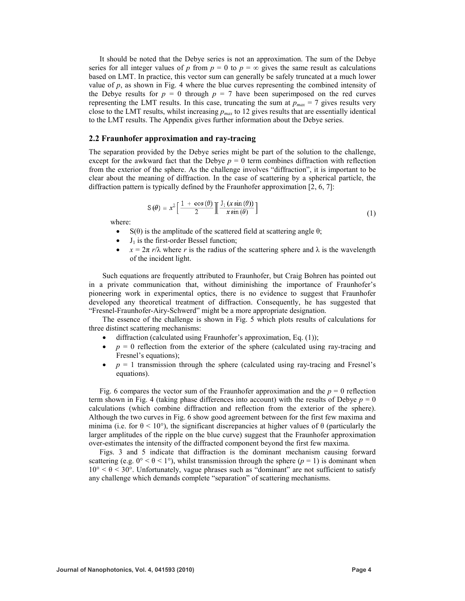It should be noted that the Debye series is not an approximation. The sum of the Debye series for all integer values of *p* from  $p = 0$  to  $p = \infty$  gives the same result as calculations based on LMT. In practice, this vector sum can generally be safely truncated at a much lower value of *p*, as shown in Fig. 4 where the blue curves representing the combined intensity of the Debye results for  $p = 0$  through  $p = 7$  have been superimposed on the red curves representing the LMT results. In this case, truncating the sum at  $p_{max} = 7$  gives results very close to the LMT results, whilst increasing  $p_{max}$  to 12 gives results that are essentially identical to the LMT results. The Appendix gives further information about the Debye series.

## **2.2 Fraunhofer approximation and ray-tracing**

The separation provided by the Debye series might be part of the solution to the challenge, except for the awkward fact that the Debye  $p = 0$  term combines diffraction with reflection from the exterior of the sphere. As the challenge involves "diffraction", it is important to be clear about the meaning of diffraction. In the case of scattering by a spherical particle, the diffraction pattern is typically defined by the Fraunhofer approximation [2, 6, 7]:

$$
S(\theta) = x^2 \left[ \frac{1 + \cos(\theta)}{2} \right] \left[ \frac{J_1(x \sin(\theta))}{x \sin(\theta)} \right]
$$
(1)

where:

- $S(\theta)$  is the amplitude of the scattered field at scattering angle  $\theta$ ;
- $J_1$  is the first-order Bessel function;
- $x = 2\pi r/\lambda$  where *r* is the radius of the scattering sphere and  $\lambda$  is the wavelength of the incident light.

Such equations are frequently attributed to Fraunhofer, but Craig Bohren has pointed out in a private communication that, without diminishing the importance of Fraunhofer's pioneering work in experimental optics, there is no evidence to suggest that Fraunhofer developed any theoretical treatment of diffraction. Consequently, he has suggested that "Fresnel-Fraunhofer-Airy-Schwerd" might be a more appropriate designation.

The essence of the challenge is shown in Fig. 5 which plots results of calculations for three distinct scattering mechanisms:

- diffraction (calculated using Fraunhofer's approximation, Eq. (1));
- $p = 0$  reflection from the exterior of the sphere (calculated using ray-tracing and Fresnel's equations);
- $\bullet$  *p* = 1 transmission through the sphere (calculated using ray-tracing and Fresnel's equations).

Fig. 6 compares the vector sum of the Fraunhofer approximation and the  $p = 0$  reflection term shown in Fig. 4 (taking phase differences into account) with the results of Debye  $p = 0$ calculations (which combine diffraction and reflection from the exterior of the sphere). Although the two curves in Fig. 6 show good agreement between for the first few maxima and minima (i.e. for  $\theta$  < 10°), the significant discrepancies at higher values of  $\theta$  (particularly the larger amplitudes of the ripple on the blue curve) suggest that the Fraunhofer approximation over-estimates the intensity of the diffracted component beyond the first few maxima.

Figs. 3 and 5 indicate that diffraction is the dominant mechanism causing forward scattering (e.g.  $0^{\circ} < \theta < 1^{\circ}$ ), whilst transmission through the sphere ( $p = 1$ ) is dominant when  $10^{\circ} < \theta < 30^{\circ}$ . Unfortunately, vague phrases such as "dominant" are not sufficient to satisfy any challenge which demands complete "separation" of scattering mechanisms.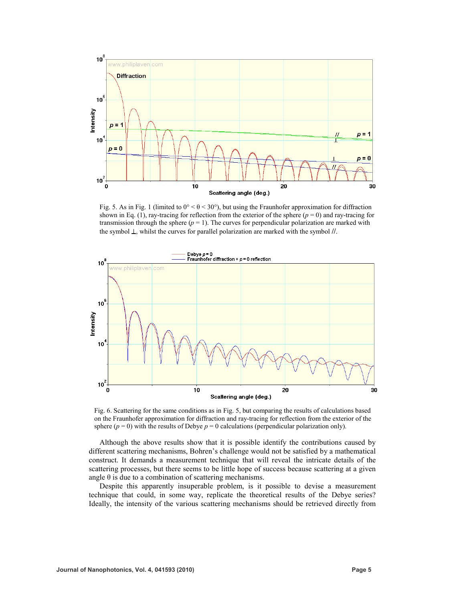

Fig. 5. As in Fig. 1 (limited to  $0^{\circ} < \theta < 30^{\circ}$ ), but using the Fraunhofer approximation for diffraction shown in Eq. (1), ray-tracing for reflection from the exterior of the sphere ( $p = 0$ ) and ray-tracing for transmission through the sphere  $(p = 1)$ . The curves for perpendicular polarization are marked with the symbol ⊥, whilst the curves for parallel polarization are marked with the symbol **//**.



Fig. 6. Scattering for the same conditions as in Fig. 5, but comparing the results of calculations based on the Fraunhofer approximation for diffraction and ray-tracing for reflection from the exterior of the sphere  $(p = 0)$  with the results of Debye  $p = 0$  calculations (perpendicular polarization only).

Although the above results show that it is possible identify the contributions caused by different scattering mechanisms, Bohren's challenge would not be satisfied by a mathematical construct. It demands a measurement technique that will reveal the intricate details of the scattering processes, but there seems to be little hope of success because scattering at a given angle  $\theta$  is due to a combination of scattering mechanisms.

Despite this apparently insuperable problem, is it possible to devise a measurement technique that could, in some way, replicate the theoretical results of the Debye series? Ideally, the intensity of the various scattering mechanisms should be retrieved directly from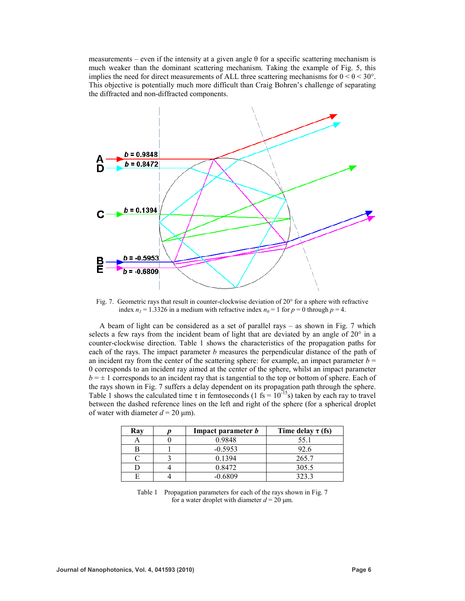measurements – even if the intensity at a given angle  $\theta$  for a specific scattering mechanism is much weaker than the dominant scattering mechanism. Taking the example of Fig. 5, this implies the need for direct measurements of ALL three scattering mechanisms for  $0 < \theta < 30^{\circ}$ . This objective is potentially much more difficult than Craig Bohren's challenge of separating the diffracted and non-diffracted components.



Fig. 7. Geometric rays that result in counter-clockwise deviation of 20° for a sphere with refractive index  $n_1 = 1.3326$  in a medium with refractive index  $n_0 = 1$  for  $p = 0$  through  $p = 4$ .

A beam of light can be considered as a set of parallel rays – as shown in Fig. 7 which selects a few rays from the incident beam of light that are deviated by an angle of 20° in a counter-clockwise direction. Table 1 shows the characteristics of the propagation paths for each of the rays. The impact parameter *b* measures the perpendicular distance of the path of an incident ray from the center of the scattering sphere: for example, an impact parameter  $b =$ 0 corresponds to an incident ray aimed at the center of the sphere, whilst an impact parameter  $b = \pm 1$  corresponds to an incident ray that is tangential to the top or bottom of sphere. Each of the rays shown in Fig. 7 suffers a delay dependent on its propagation path through the sphere. Table 1 shows the calculated time  $\tau$  in femtoseconds (1 fs =  $10^{-15}$ s) taken by each ray to travel between the dashed reference lines on the left and right of the sphere (for a spherical droplet of water with diameter  $d = 20 \text{ µm}$ .

| Ray | Impact parameter <i>b</i> | Time delay $\tau$ (fs) |
|-----|---------------------------|------------------------|
|     | 0.9848                    | 55.1                   |
|     | $-0.5953$                 | 92.6                   |
|     | 0.1394                    | 265.7                  |
|     | 0.8472                    | 305.5                  |
|     | $-0.6809$                 | 323.3                  |

Table 1 Propagation parameters for each of the rays shown in Fig. 7 for a water droplet with diameter  $d = 20 \text{ µm}$ .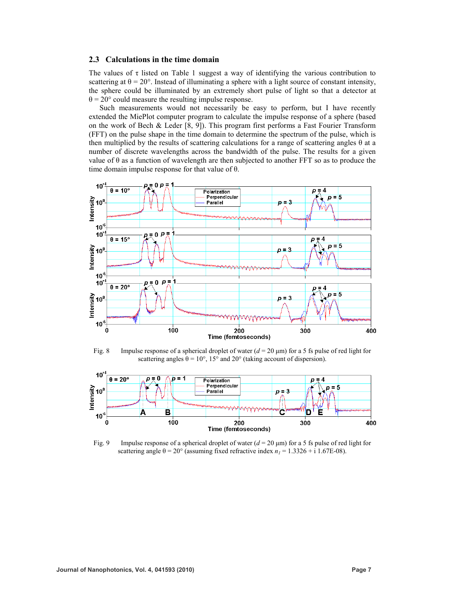#### **2.3 Calculations in the time domain**

The values of τ listed on Table 1 suggest a way of identifying the various contribution to scattering at  $\theta = 20^{\circ}$ . Instead of illuminating a sphere with a light source of constant intensity, the sphere could be illuminated by an extremely short pulse of light so that a detector at  $\theta$  = 20 $\degree$  could measure the resulting impulse response.

Such measurements would not necessarily be easy to perform, but I have recently extended the MiePlot computer program to calculate the impulse response of a sphere (based on the work of Bech & Leder [8, 9]). This program first performs a Fast Fourier Transform (FFT) on the pulse shape in the time domain to determine the spectrum of the pulse, which is then multiplied by the results of scattering calculations for a range of scattering angles θ at a number of discrete wavelengths across the bandwidth of the pulse. The results for a given value of  $\theta$  as a function of wavelength are then subjected to another FFT so as to produce the time domain impulse response for that value of θ.



Fig. 8 Impulse response of a spherical droplet of water (*d* = 20 µm) for a 5 fs pulse of red light for scattering angles  $\theta = 10^{\circ}$ , 15° and 20° (taking account of dispersion).



Fig. 9 Impulse response of a spherical droplet of water  $(d = 20 \text{ µm})$  for a 5 fs pulse of red light for scattering angle  $\theta = 20^{\circ}$  (assuming fixed refractive index  $n_l = 1.3326 + i 1.67E-08$ ).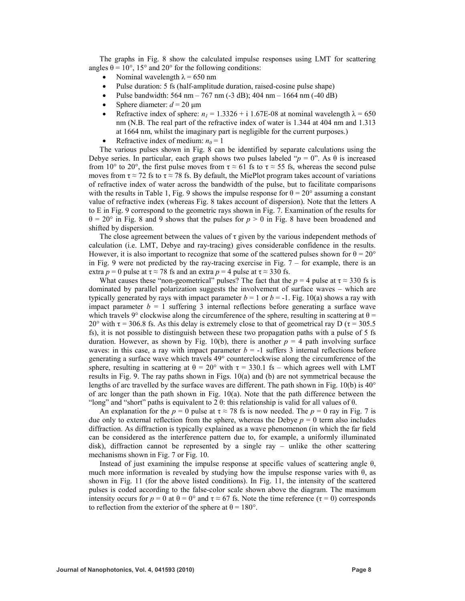The graphs in Fig. 8 show the calculated impulse responses using LMT for scattering angles  $\theta = 10^{\circ}$ , 15° and 20° for the following conditions:

- Nominal wavelength  $\lambda$  = 650 nm
- Pulse duration: 5 fs (half-amplitude duration, raised-cosine pulse shape)
- Pulse bandwidth: 564 nm 767 nm (-3 dB); 404 nm 1664 nm (-40 dB)
- Sphere diameter:  $d = 20 \text{ µm}$
- Refractive index of sphere:  $n_1 = 1.3326 + i 1.67E-08$  at nominal wavelength  $\lambda = 650$ nm (N.B. The real part of the refractive index of water is 1.344 at 404 nm and 1.313 at 1664 nm, whilst the imaginary part is negligible for the current purposes.)
- Refractive index of medium:  $n_0 = 1$

The various pulses shown in Fig. 8 can be identified by separate calculations using the Debye series. In particular, each graph shows two pulses labeled " $p = 0$ ". As  $\theta$  is increased from 10° to 20°, the first pulse moves from  $\tau \approx 61$  fs to  $\tau \approx 55$  fs, whereas the second pulse moves from  $\tau \approx 72$  fs to  $\tau \approx 78$  fs. By default, the MiePlot program takes account of variations of refractive index of water across the bandwidth of the pulse, but to facilitate comparisons with the results in Table 1, Fig. 9 shows the impulse response for  $\theta = 20^{\circ}$  assuming a constant value of refractive index (whereas Fig. 8 takes account of dispersion). Note that the letters A to E in Fig. 9 correspond to the geometric rays shown in Fig. 7. Examination of the results for  $\theta = 20^{\circ}$  in Fig. 8 and 9 shows that the pulses for  $p > 0$  in Fig. 8 have been broadened and shifted by dispersion.

The close agreement between the values of  $\tau$  given by the various independent methods of calculation (i.e. LMT, Debye and ray-tracing) gives considerable confidence in the results. However, it is also important to recognize that some of the scattered pulses shown for  $\theta = 20^{\circ}$ in Fig. 9 were not predicted by the ray-tracing exercise in Fig.  $7 -$  for example, there is an extra  $p = 0$  pulse at  $\tau \approx 78$  fs and an extra  $p = 4$  pulse at  $\tau \approx 330$  fs.

What causes these "non-geometrical" pulses? The fact that the  $p = 4$  pulse at  $\tau \approx 330$  fs is dominated by parallel polarization suggests the involvement of surface waves – which are typically generated by rays with impact parameter  $b = 1$  or  $b = -1$ . Fig. 10(a) shows a ray with impact parameter  $b = 1$  suffering 3 internal reflections before generating a surface wave which travels 9° clockwise along the circumference of the sphere, resulting in scattering at  $\theta$  = 20° with  $\tau$  = 306.8 fs. As this delay is extremely close to that of geometrical ray D ( $\tau$  = 305.5 fs), it is not possible to distinguish between these two propagation paths with a pulse of 5 fs duration. However, as shown by Fig. 10(b), there is another  $p = 4$  path involving surface waves: in this case, a ray with impact parameter  $b = -1$  suffers 3 internal reflections before generating a surface wave which travels 49° counterclockwise along the circumference of the sphere, resulting in scattering at  $\theta = 20^{\circ}$  with  $\tau = 330.1$  fs – which agrees well with LMT results in Fig. 9. The ray paths shown in Figs.  $10(a)$  and (b) are not symmetrical because the lengths of arc travelled by the surface waves are different. The path shown in Fig.  $10(b)$  is  $40^{\circ}$ of arc longer than the path shown in Fig. 10(a). Note that the path difference between the "long" and "short" paths is equivalent to 2 θ: this relationship is valid for all values of  $\theta$ .

An explanation for the  $p = 0$  pulse at  $\tau \approx 78$  fs is now needed. The  $p = 0$  ray in Fig. 7 is due only to external reflection from the sphere, whereas the Debye  $p = 0$  term also includes diffraction. As diffraction is typically explained as a wave phenomenon (in which the far field can be considered as the interference pattern due to, for example, a uniformly illuminated disk), diffraction cannot be represented by a single ray – unlike the other scattering mechanisms shown in Fig. 7 or Fig. 10.

Instead of just examining the impulse response at specific values of scattering angle  $\theta$ , much more information is revealed by studying how the impulse response varies with θ, as shown in Fig. 11 (for the above listed conditions). In Fig. 11, the intensity of the scattered pulses is coded according to the false-color scale shown above the diagram. The maximum intensity occurs for  $p = 0$  at  $\theta = 0^{\circ}$  and  $\tau \approx 67$  fs. Note the time reference ( $\tau = 0$ ) corresponds to reflection from the exterior of the sphere at  $\theta = 180^{\circ}$ .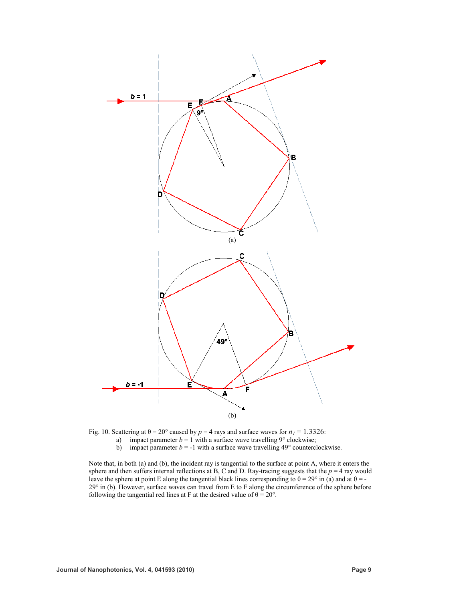



- a) impact parameter  $b = 1$  with a surface wave travelling 9° clockwise;
- b) impact parameter  $b = -1$  with a surface wave travelling 49° counterclockwise.

Note that, in both (a) and (b), the incident ray is tangential to the surface at point A, where it enters the sphere and then suffers internal reflections at B, C and D. Ray-tracing suggests that the  $p = 4$  ray would leave the sphere at point E along the tangential black lines corresponding to  $\theta = 29^\circ$  in (a) and at  $\theta = -$ 29° in (b). However, surface waves can travel from E to F along the circumference of the sphere before following the tangential red lines at F at the desired value of  $\theta = 20^{\circ}$ .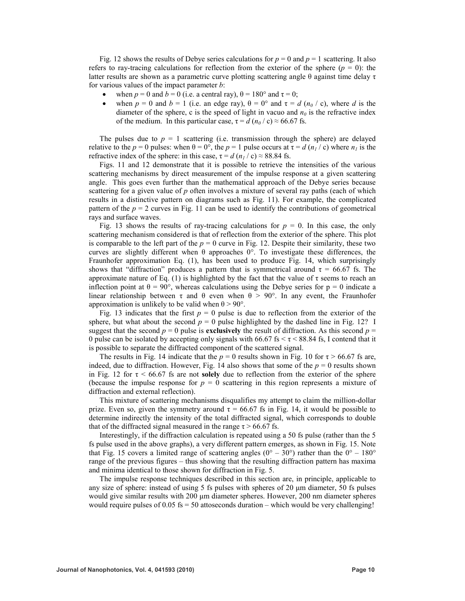Fig. 12 shows the results of Debye series calculations for  $p = 0$  and  $p = 1$  scattering. It also refers to ray-tracing calculations for reflection from the exterior of the sphere ( $p = 0$ ): the latter results are shown as a parametric curve plotting scattering angle θ against time delay  $τ$ for various values of the impact parameter *b*:

- when  $p = 0$  and  $b = 0$  (i.e. a central ray),  $\theta = 180^{\circ}$  and  $\tau = 0$ ;
- when  $p = 0$  and  $b = 1$  (i.e. an edge ray),  $\theta = 0^{\circ}$  and  $\tau = d$  ( $n_0 / c$ ), where *d* is the diameter of the sphere, c is the speed of light in vacuo and  $n<sub>0</sub>$  is the refractive index of the medium. In this particular case,  $\tau = d (n_0/c) \approx 66.67$  fs.

The pulses due to  $p = 1$  scattering (i.e. transmission through the sphere) are delayed relative to the  $p = 0$  pulses: when  $\theta = 0^\circ$ , the  $p = 1$  pulse occurs at  $\tau = d(n_1/c)$  where  $n_1$  is the refractive index of the sphere: in this case,  $\tau = d (n_1/c) \approx 88.84$  fs.

Figs. 11 and 12 demonstrate that it is possible to retrieve the intensities of the various scattering mechanisms by direct measurement of the impulse response at a given scattering angle. This goes even further than the mathematical approach of the Debye series because scattering for a given value of *p* often involves a mixture of several ray paths (each of which results in a distinctive pattern on diagrams such as Fig. 11). For example, the complicated pattern of the  $p = 2$  curves in Fig. 11 can be used to identify the contributions of geometrical rays and surface waves.

Fig. 13 shows the results of ray-tracing calculations for  $p = 0$ . In this case, the only scattering mechanism considered is that of reflection from the exterior of the sphere. This plot is comparable to the left part of the  $p = 0$  curve in Fig. 12. Despite their similarity, these two curves are slightly different when  $\theta$  approaches 0°. To investigate these differences, the Fraunhofer approximation Eq. (1), has been used to produce Fig. 14, which surprisingly shows that "diffraction" produces a pattern that is symmetrical around  $\tau = 66.67$  fs. The approximate nature of Eq. (1) is highlighted by the fact that the value of  $\tau$  seems to reach an inflection point at  $\theta = 90^{\circ}$ , whereas calculations using the Debye series for  $p = 0$  indicate a linear relationship between τ and θ even when  $θ$  > 90°. In any event, the Fraunhofer approximation is unlikely to be valid when  $\theta$  > 90°.

Fig. 13 indicates that the first  $p = 0$  pulse is due to reflection from the exterior of the sphere, but what about the second  $p = 0$  pulse highlighted by the dashed line in Fig. 12? I suggest that the second  $p = 0$  pulse is **exclusively** the result of diffraction. As this second  $p =$ 0 pulse can be isolated by accepting only signals with 66.67 fs  $\lt \tau \lt 88.84$  fs, I contend that it is possible to separate the diffracted component of the scattered signal.

The results in Fig. 14 indicate that the  $p = 0$  results shown in Fig. 10 for  $\tau > 66.67$  fs are, indeed, due to diffraction. However, Fig. 14 also shows that some of the  $p = 0$  results shown in Fig. 12 for  $\tau$  < 66.67 fs are not **solely** due to reflection from the exterior of the sphere (because the impulse response for  $p = 0$  scattering in this region represents a mixture of diffraction and external reflection).

This mixture of scattering mechanisms disqualifies my attempt to claim the million-dollar prize. Even so, given the symmetry around  $\tau = 66.67$  fs in Fig. 14, it would be possible to determine indirectly the intensity of the total diffracted signal, which corresponds to double that of the diffracted signal measured in the range  $\tau > 66.67$  fs.

Interestingly, if the diffraction calculation is repeated using a 50 fs pulse (rather than the 5 fs pulse used in the above graphs), a very different pattern emerges, as shown in Fig. 15. Note that Fig. 15 covers a limited range of scattering angles  $(0^{\circ} - 30^{\circ})$  rather than the  $0^{\circ} - 180^{\circ}$ range of the previous figures – thus showing that the resulting diffraction pattern has maxima and minima identical to those shown for diffraction in Fig. 5.

The impulse response techniques described in this section are, in principle, applicable to any size of sphere: instead of using 5 fs pulses with spheres of 20 µm diameter, 50 fs pulses would give similar results with 200 µm diameter spheres. However, 200 nm diameter spheres would require pulses of 0.05 fs = 50 attoseconds duration – which would be very challenging!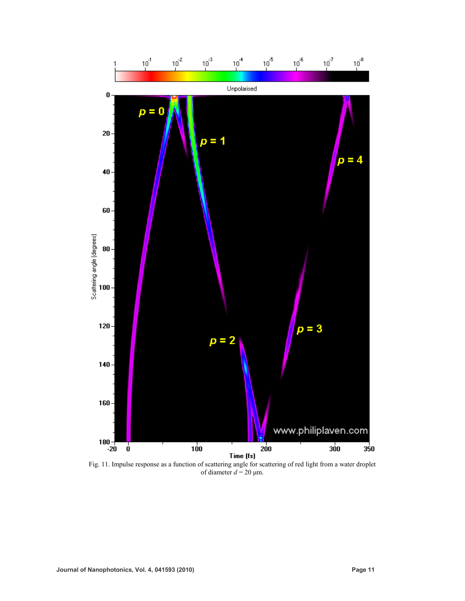

Fig. 11. Impulse response as a function of scattering angle for scattering of red light from a water droplet of diameter  $d = 20 \mu m$ .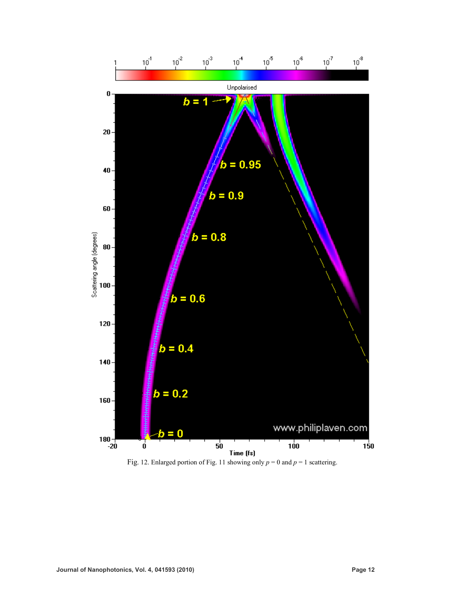

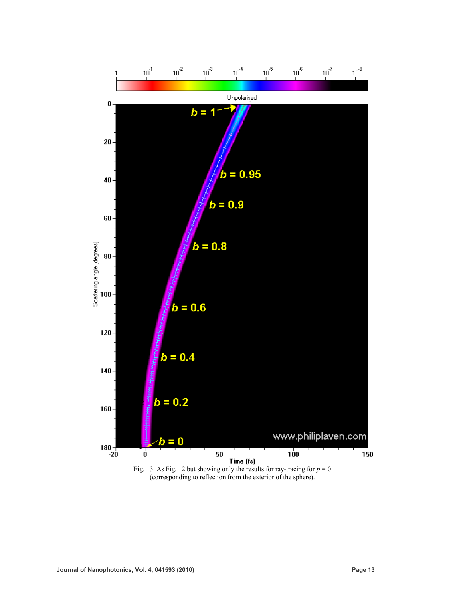

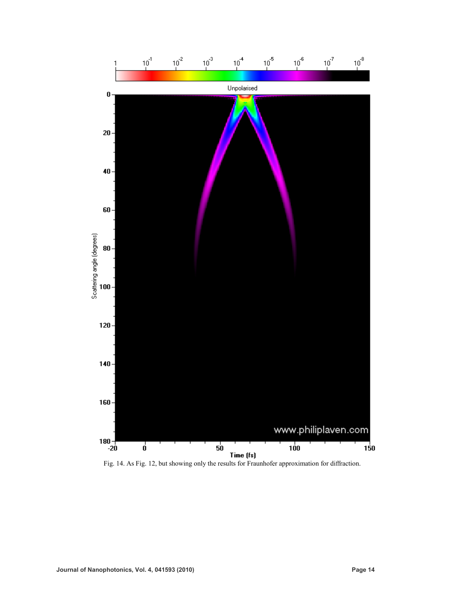

Fig. 14. As Fig. 12, but showing only the results for Fraunhofer approximation for diffraction.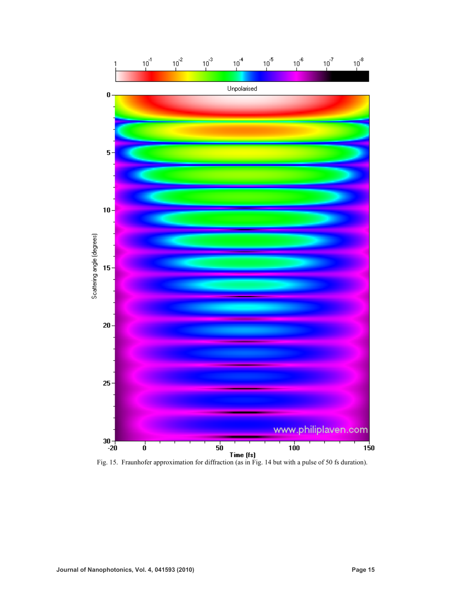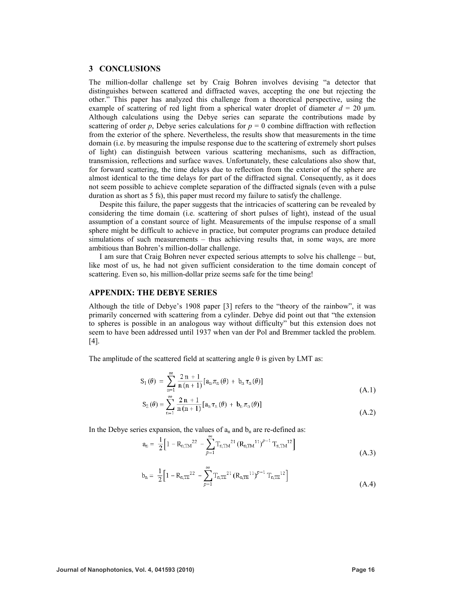## **3 CONCLUSIONS**

The million-dollar challenge set by Craig Bohren involves devising "a detector that distinguishes between scattered and diffracted waves, accepting the one but rejecting the other." This paper has analyzed this challenge from a theoretical perspective, using the example of scattering of red light from a spherical water droplet of diameter  $d = 20 \mu m$ . Although calculations using the Debye series can separate the contributions made by scattering of order *p*, Debye series calculations for  $p = 0$  combine diffraction with reflection from the exterior of the sphere. Nevertheless, the results show that measurements in the time domain (i.e. by measuring the impulse response due to the scattering of extremely short pulses of light) can distinguish between various scattering mechanisms, such as diffraction, transmission, reflections and surface waves. Unfortunately, these calculations also show that, for forward scattering, the time delays due to reflection from the exterior of the sphere are almost identical to the time delays for part of the diffracted signal. Consequently, as it does not seem possible to achieve complete separation of the diffracted signals (even with a pulse duration as short as 5 fs), this paper must record my failure to satisfy the challenge.

Despite this failure, the paper suggests that the intricacies of scattering can be revealed by considering the time domain (i.e. scattering of short pulses of light), instead of the usual assumption of a constant source of light. Measurements of the impulse response of a small sphere might be difficult to achieve in practice, but computer programs can produce detailed simulations of such measurements – thus achieving results that, in some ways, are more ambitious than Bohren's million-dollar challenge.

I am sure that Craig Bohren never expected serious attempts to solve his challenge – but, like most of us, he had not given sufficient consideration to the time domain concept of scattering. Even so, his million-dollar prize seems safe for the time being!

### **APPENDIX: THE DEBYE SERIES**

Although the title of Debye's 1908 paper [3] refers to the "theory of the rainbow", it was primarily concerned with scattering from a cylinder. Debye did point out that "the extension to spheres is possible in an analogous way without difficulty" but this extension does not seem to have been addressed until 1937 when van der Pol and Bremmer tackled the problem. [4].

The amplitude of the scattered field at scattering angle  $\theta$  is given by LMT as:

$$
S_1(\theta) = \sum_{n=1}^{\infty} \frac{2n+1}{n(n+1)} [a_n \pi_n(\theta) + b_n \tau_n(\theta)]
$$
\n(A.1)

$$
S_2(\theta) = \sum_{n=1}^{\infty} \frac{2 n + 1}{n(n+1)} [a_n \tau_n(\theta) + b_n \pi_n(\theta)]
$$
\n(A.2)

In the Debye series expansion, the values of  $a_n$  and  $b_n$  are re-defined as:

$$
a_n = \frac{1}{2} \Big[ 1 - R_{n,\text{TM}}^{22} - \sum_{p=1}^{\infty} T_{n,\text{TM}}^{21} (R_{n,\text{TM}}^{11})^{p-1} T_{n,\text{TM}}^{12} \Big]
$$
(A.3)

$$
b_n = \frac{1}{2} \Big[ 1 - R_{n,\text{TE}}^{22} - \sum_{p=1}^{\infty} T_{n,\text{TE}}^{21} \left( R_{n,\text{TE}}^{11} \right)^{p-1} T_{n,\text{TE}}^{12} \Big] \tag{A.4}
$$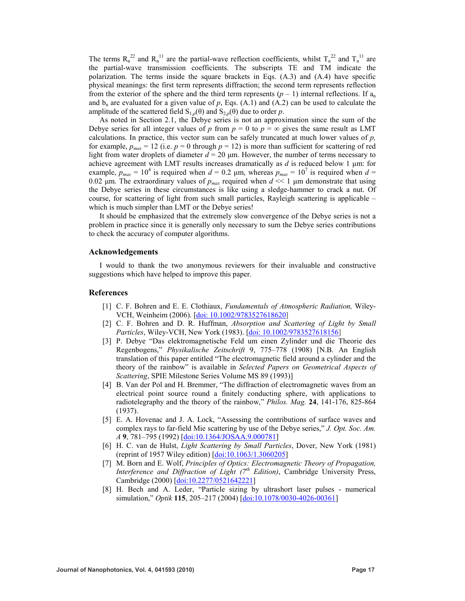The terms  $R_n^{22}$  and  $R_n^{11}$  are the partial-wave reflection coefficients, whilst  $T_n^{22}$  and  $T_n^{11}$  are the partial-wave transmission coefficients. The subscripts TE and TM indicate the polarization. The terms inside the square brackets in Eqs. (A.3) and (A.4) have specific physical meanings: the first term represents diffraction; the second term represents reflection from the exterior of the sphere and the third term represents  $(p-1)$  internal reflections. If a<sub>n</sub> and  $b_n$  are evaluated for a given value of p, Eqs. (A.1) and (A.2) can be used to calculate the amplitude of the scattered field  $S_{1,p}(\theta)$  and  $S_{2,p}(\theta)$  due to order *p*.

As noted in Section 2.1, the Debye series is not an approximation since the sum of the Debye series for all integer values of *p* from  $p = 0$  to  $p = \infty$  gives the same result as LMT calculations. In practice, this vector sum can be safely truncated at much lower values of *p,*  for example,  $p_{max} = 12$  (i.e.  $p = 0$  through  $p = 12$ ) is more than sufficient for scattering of red light from water droplets of diameter  $d = 20 \mu m$ . However, the number of terms necessary to achieve agreement with LMT results increases dramatically as *d* is reduced below 1 µm: for example,  $p_{max} = 10^4$  is required when  $d = 0.2$  µm, whereas  $p_{max} = 10^7$  is required when  $d =$ 0.02  $\mu$ m. The extraordinary values of  $p_{max}$  required when  $d \ll 1 \mu$ m demonstrate that using the Debye series in these circumstances is like using a sledge-hammer to crack a nut. Of course, for scattering of light from such small particles, Rayleigh scattering is applicable – which is much simpler than LMT or the Debye series!

It should be emphasized that the extremely slow convergence of the Debye series is not a problem in practice since it is generally only necessary to sum the Debye series contributions to check the accuracy of computer algorithms.

#### **Acknowledgements**

I would to thank the two anonymous reviewers for their invaluable and constructive suggestions which have helped to improve this paper.

## **References**

- [1] C. F. Bohren and E. E. Clothiaux, *Fundamentals of Atmospheric Radiation,* Wiley-VCH, Weinheim (2006). [[doi: 10.1002/9783527618620\]](http://dx.doi.org/doi:10.1002/9783527618620)
- [2] C. F. Bohren and D. R. Huffman, *Absorption and Scattering of Light by Small*  Particles, Wiley-VCH, New York (1983). [[doi: 10.1002/9783527618156\]](http://dx.doi.org/doi:10.1002/9783527618156)
- [3] P. Debye "Das elektromagnetische Feld um einen Zylinder und die Theorie des Regenbogens," *Physikalische Zeitschrift* 9, 775–778 (1908) [N.B. An English translation of this paper entitled "The electromagnetic field around a cylinder and the theory of the rainbow" is available in *Selected Papers on Geometrical Aspects of Scattering*, SPIE Milestone Series Volume MS 89 (1993)]
- [4] B. Van der Pol and H. Bremmer, "The diffraction of electromagnetic waves from an electrical point source round a finitely conducting sphere, with applications to radiotelegraphy and the theory of the rainbow," *Philos. Mag.* **24**, 141-176, 825-864 (1937).
- [5] E. A. Hovenac and J. A. Lock, "Assessing the contributions of surface waves and complex rays to far-field Mie scattering by use of the Debye series," *J. Opt. Soc. Am. A* **9**, 781–795 (1992) [[doi:10.1364/JOSAA.9.000781\]](http://dx.doi.org/10.1364/JOSAA.9.000781)
- [6] H. C. van de Hulst, *Light Scattering by Small Particles*, Dover, New York (1981) (reprint of 1957 Wiley edition) [[doi:10.1063/1.3060205\]](http://dx.doi.org/10.1063/1.3060205)
- [7] M. Born and E. Wolf, *Principles of Optics: Electromagnetic Theory of Propagation, Interference and Diffraction of Light (7th Edition)*, Cambridge University Press, Cambridge (2000) [[doi:10.2277/0521642221\]](http://dx.doi.org/10.2277/0521642221)
- [8] H. Bech and A. Leder, "Particle sizing by ultrashort laser pulses numerical simulation," *Optik* **115**, 205–217 (2004) [[doi:10.1078/0030-4026-00361\]](http://dx.doi.org/10.1078/0030-4026-00361)